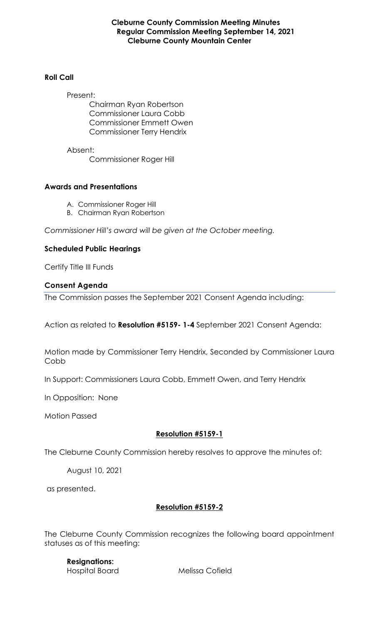#### **Cleburne County Commission Meeting Minutes Regular Commission Meeting September 14, 2021 Cleburne County Mountain Center**

## **Roll Call**

Present: Chairman Ryan Robertson Commissioner Laura Cobb Commissioner Emmett Owen Commissioner Terry Hendrix

Absent: Commissioner Roger Hill

## **Awards and Presentations**

- A. Commissioner Roger Hill
- B. Chairman Ryan Robertson

*Commissioner Hill's award will be given at the October meeting.*

## **Scheduled Public Hearings**

Certify Title III Funds

## **Consent Agenda**

The Commission passes the September 2021 Consent Agenda including:

Action as related to **Resolution #5159- 1-4** September 2021 Consent Agenda:

Motion made by Commissioner Terry Hendrix, Seconded by Commissioner Laura Cobb

In Support: Commissioners Laura Cobb, Emmett Owen, and Terry Hendrix

In Opposition: None

Motion Passed

## **Resolution #5159-1**

The Cleburne County Commission hereby resolves to approve the minutes of:

August 10, 2021

as presented.

## **Resolution #5159-2**

The Cleburne County Commission recognizes the following board appointment statuses as of this meeting:

**Resignations:**

Hospital Board Melissa Cofield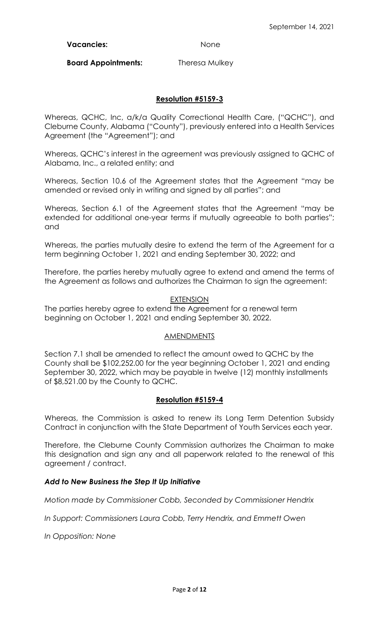Vacancies: None

**Board Appointments:** Theresa Mulkey

## **Resolution #5159-3**

Whereas, QCHC, Inc, a/k/a Quality Correctional Health Care, ("QCHC"), and Cleburne County, Alabama ("County"), previously entered into a Health Services Agreement (the "Agreement"); and

Whereas, QCHC's interest in the agreement was previously assigned to QCHC of Alabama, Inc., a related entity; and

Whereas, Section 10.6 of the Agreement states that the Agreement "may be amended or revised only in writing and signed by all parties"; and

Whereas, Section 6.1 of the Agreement states that the Agreement "may be extended for additional one-year terms if mutually agreeable to both parties"; and

Whereas, the parties mutually desire to extend the term of the Agreement for a term beginning October 1, 2021 and ending September 30, 2022; and

Therefore, the parties hereby mutually agree to extend and amend the terms of the Agreement as follows and authorizes the Chairman to sign the agreement:

#### EXTENSION

The parties hereby agree to extend the Agreement for a renewal term beginning on October 1, 2021 and ending September 30, 2022.

#### <u>AMENDMENTS</u>

Section 7.1 shall be amended to reflect the amount owed to QCHC by the County shall be \$102,252.00 for the year beginning October 1, 2021 and ending September 30, 2022, which may be payable in twelve (12) monthly installments of \$8,521.00 by the County to QCHC.

#### **Resolution #5159-4**

Whereas, the Commission is asked to renew its Long Term Detention Subsidy Contract in conjunction with the State Department of Youth Services each year.

Therefore, the Cleburne County Commission authorizes the Chairman to make this designation and sign any and all paperwork related to the renewal of this agreement / contract.

#### *Add to New Business the Step It Up Initiative*

*Motion made by Commissioner Cobb, Seconded by Commissioner Hendrix*

*In Support: Commissioners Laura Cobb, Terry Hendrix, and Emmett Owen*

*In Opposition: None*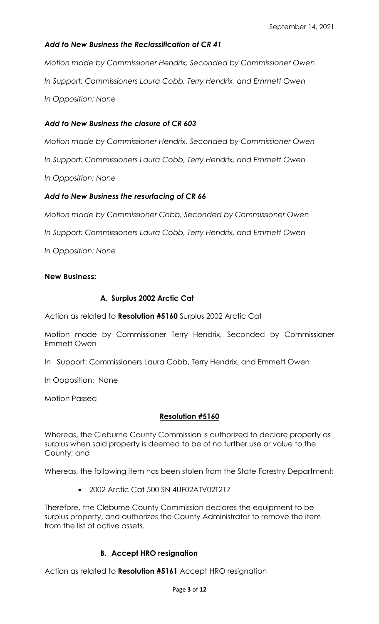## *Add to New Business the Reclassification of CR 41*

*Motion made by Commissioner Hendrix, Seconded by Commissioner Owen In Support: Commissioners Laura Cobb, Terry Hendrix, and Emmett Owen In Opposition: None*

### *Add to New Business the closure of CR 603*

*Motion made by Commissioner Hendrix, Seconded by Commissioner Owen*

*In Support: Commissioners Laura Cobb, Terry Hendrix, and Emmett Owen*

*In Opposition: None*

#### *Add to New Business the resurfacing of CR 66*

*Motion made by Commissioner Cobb, Seconded by Commissioner Owen*

*In Support: Commissioners Laura Cobb, Terry Hendrix, and Emmett Owen*

*In Opposition: None*

#### **New Business:**

#### **A. Surplus 2002 Arctic Cat**

Action as related to **Resolution #5160** Surplus 2002 Arctic Cat

Motion made by Commissioner Terry Hendrix, Seconded by Commissioner Emmett Owen

In Support: Commissioners Laura Cobb, Terry Hendrix, and Emmett Owen

In Opposition: None

Motion Passed

#### **Resolution #5160**

Whereas, the Cleburne County Commission is authorized to declare property as surplus when said property is deemed to be of no further use or value to the County; and

Whereas, the following item has been stolen from the State Forestry Department:

• 2002 Arctic Cat 500 SN 4UF02ATV02T217

Therefore, the Cleburne County Commission declares the equipment to be surplus property, and authorizes the County Administrator to remove the item from the list of active assets.

## **B. Accept HRO resignation**

Action as related to **Resolution #5161** Accept HRO resignation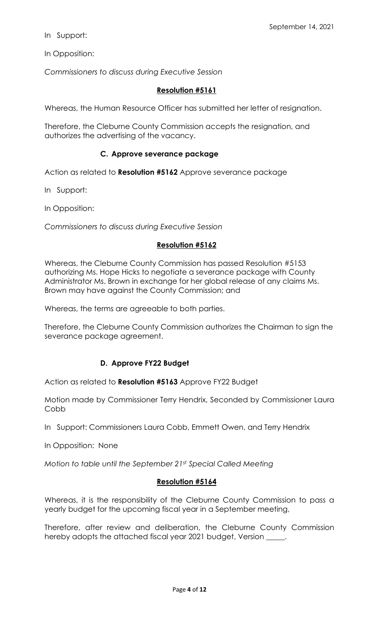In Support:

In Opposition:

*Commissioners to discuss during Executive Session*

#### **Resolution #5161**

Whereas, the Human Resource Officer has submitted her letter of resignation.

Therefore, the Cleburne County Commission accepts the resignation, and authorizes the advertising of the vacancy.

#### **C. Approve severance package**

Action as related to **Resolution #5162** Approve severance package

In Support:

In Opposition:

*Commissioners to discuss during Executive Session*

#### **Resolution #5162**

Whereas, the Cleburne County Commission has passed Resolution #5153 authorizing Ms. Hope Hicks to negotiate a severance package with County Administrator Ms. Brown in exchange for her global release of any claims Ms. Brown may have against the County Commission; and

Whereas, the terms are agreeable to both parties.

Therefore, the Cleburne County Commission authorizes the Chairman to sign the severance package agreement.

#### **D. Approve FY22 Budget**

Action as related to **Resolution #5163** Approve FY22 Budget

Motion made by Commissioner Terry Hendrix, Seconded by Commissioner Laura Cobb

In Support: Commissioners Laura Cobb, Emmett Owen, and Terry Hendrix

In Opposition: None

*Motion to table until the September 21st Special Called Meeting*

#### **Resolution #5164**

Whereas, it is the responsibility of the Cleburne County Commission to pass a yearly budget for the upcoming fiscal year in a September meeting,

Therefore, after review and deliberation, the Cleburne County Commission hereby adopts the attached fiscal year 2021 budget, Version \_\_\_\_\_.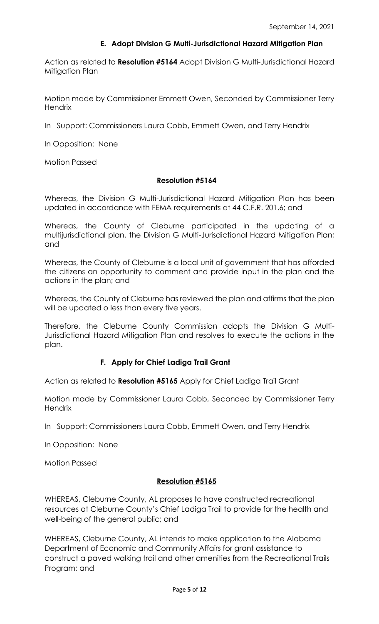## **E. Adopt Division G Multi-Jurisdictional Hazard Mitigation Plan**

Action as related to **Resolution #5164** Adopt Division G Multi-Jurisdictional Hazard Mitigation Plan

Motion made by Commissioner Emmett Owen, Seconded by Commissioner Terry **Hendrix** 

In Support: Commissioners Laura Cobb, Emmett Owen, and Terry Hendrix

In Opposition: None

Motion Passed

## **Resolution #5164**

Whereas, the Division G Multi-Jurisdictional Hazard Mitigation Plan has been updated in accordance with FEMA requirements at 44 C.F.R. 201.6; and

Whereas, the County of Cleburne participated in the updating of a multijurisdictional plan, the Division G Multi-Jurisdictional Hazard Mitigation Plan; and

Whereas, the County of Cleburne is a local unit of government that has afforded the citizens an opportunity to comment and provide input in the plan and the actions in the plan; and

Whereas, the County of Cleburne has reviewed the plan and affirms that the plan will be updated o less than every five years.

Therefore, the Cleburne County Commission adopts the Division G Multi-Jurisdictional Hazard Mitigation Plan and resolves to execute the actions in the plan.

## **F. Apply for Chief Ladiga Trail Grant**

Action as related to **Resolution #5165** Apply for Chief Ladiga Trail Grant

Motion made by Commissioner Laura Cobb, Seconded by Commissioner Terry **Hendrix** 

In Support: Commissioners Laura Cobb, Emmett Owen, and Terry Hendrix

In Opposition: None

Motion Passed

#### **Resolution #5165**

WHEREAS, Cleburne County, AL proposes to have constructed recreational resources at Cleburne County's Chief Ladiga Trail to provide for the health and well-being of the general public; and

WHEREAS, Cleburne County, AL intends to make application to the Alabama Department of Economic and Community Affairs for grant assistance to construct a paved walking trail and other amenities from the Recreational Trails Program; and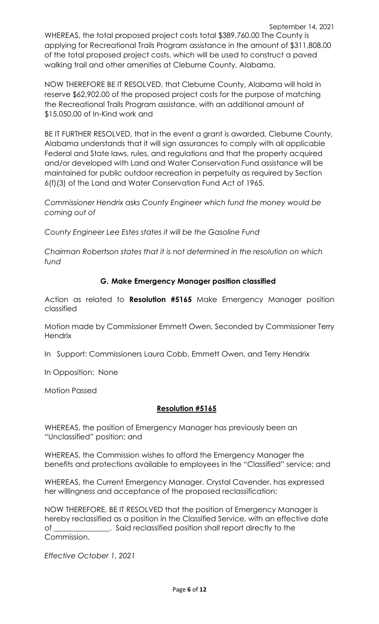September 14, 2021 WHEREAS, the total proposed project costs total \$389,760.00 The County is applying for Recreational Trails Program assistance in the amount of \$311,808.00 of the total proposed project costs, which will be used to construct a paved walking trail and other amenities at Cleburne County, Alabama.

NOW THEREFORE BE IT RESOLVED, that Cleburne County, Alabama will hold in reserve \$62,902.00 of the proposed project costs for the purpose of matching the Recreational Trails Program assistance, with an additional amount of \$15,050.00 of In-Kind work and

BE IT FURTHER RESOLVED, that in the event a grant is awarded, Cleburne County, Alabama understands that it will sign assurances to comply with all applicable Federal and State laws, rules, and regulations and that the property acquired and/or developed with Land and Water Conservation Fund assistance will be maintained for public outdoor recreation in perpetuity as required by Section 6(f)(3) of the Land and Water Conservation Fund Act of 1965.

*Commissioner Hendrix asks County Engineer which fund the money would be coming out of*

*County Engineer Lee Estes states it will be the Gasoline Fund*

*Chairman Robertson states that it is not determined in the resolution on which fund*

## **G. Make Emergency Manager position classified**

Action as related to **Resolution #5165** Make Emergency Manager position classified

Motion made by Commissioner Emmett Owen, Seconded by Commissioner Terry **Hendrix** 

In Support: Commissioners Laura Cobb, Emmett Owen, and Terry Hendrix

In Opposition: None

Motion Passed

#### **Resolution #5165**

WHEREAS, the position of Emergency Manager has previously been an "Unclassified" position; and

WHEREAS, the Commission wishes to afford the Emergency Manager the benefits and protections available to employees in the "Classified" service; and

WHEREAS, the Current Emergency Manager, Crystal Cavender, has expressed her willingness and acceptance of the proposed reclassification;

NOW THEREFORE, BE IT RESOLVED that the position of Emergency Manager is hereby reclassified as a position in the Classified Service, with an effective date of \_\_\_\_\_\_\_\_\_\_\_\_\_\_\_. Said reclassified position shall report directly to the Commission.

*Effective October 1, 2021*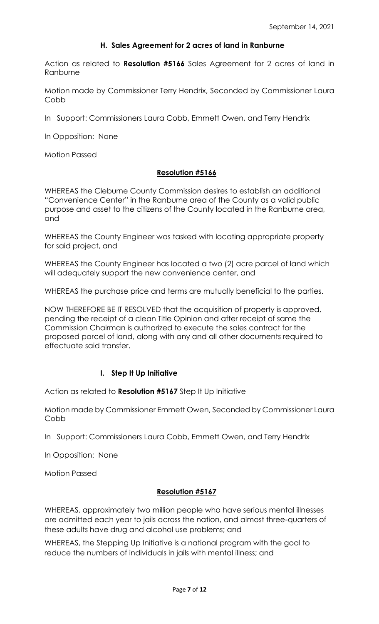### **H. Sales Agreement for 2 acres of land in Ranburne**

Action as related to **Resolution #5166** Sales Agreement for 2 acres of land in Ranburne

Motion made by Commissioner Terry Hendrix, Seconded by Commissioner Laura Cobb

In Support: Commissioners Laura Cobb, Emmett Owen, and Terry Hendrix

In Opposition: None

Motion Passed

#### **Resolution #5166**

WHEREAS the Cleburne County Commission desires to establish an additional "Convenience Center" in the Ranburne area of the County as a valid public purpose and asset to the citizens of the County located in the Ranburne area, and

WHEREAS the County Engineer was tasked with locating appropriate property for said project, and

WHEREAS the County Engineer has located a two (2) acre parcel of land which will adequately support the new convenience center, and

WHEREAS the purchase price and terms are mutually beneficial to the parties.

NOW THEREFORE BE IT RESOLVED that the acquisition of property is approved, pending the receipt of a clean Title Opinion and after receipt of same the Commission Chairman is authorized to execute the sales contract for the proposed parcel of land, along with any and all other documents required to effectuate said transfer.

#### **I. Step It Up Initiative**

Action as related to **Resolution #5167** Step It Up Initiative

Motion made by Commissioner Emmett Owen, Seconded by Commissioner Laura Cobb

In Support: Commissioners Laura Cobb, Emmett Owen, and Terry Hendrix

In Opposition: None

Motion Passed

#### **Resolution #5167**

WHEREAS, approximately two million people who have serious mental illnesses are admitted each year to jails across the nation, and almost three-quarters of these adults have drug and alcohol use problems; and

WHEREAS, the Stepping Up Initiative is a national program with the goal to reduce the numbers of individuals in jails with mental illness; and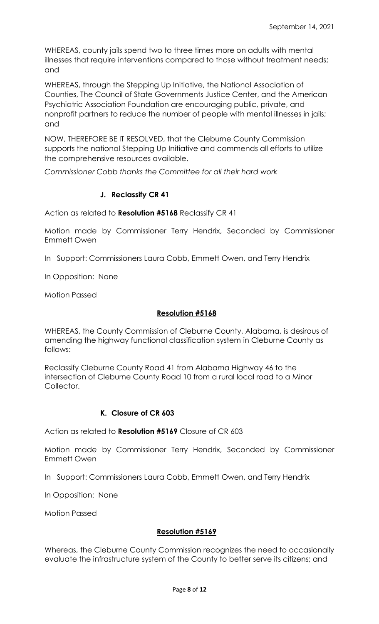WHEREAS, county jails spend two to three times more on adults with mental illnesses that require interventions compared to those without treatment needs; and

WHEREAS, through the Stepping Up Initiative, the National Association of Counties, The Council of State Governments Justice Center, and the American Psychiatric Association Foundation are encouraging public, private, and nonprofit partners to reduce the number of people with mental illnesses in jails; and

NOW, THEREFORE BE IT RESOLVED, that the Cleburne County Commission supports the national Stepping Up Initiative and commends all efforts to utilize the comprehensive resources available.

*Commissioner Cobb thanks the Committee for all their hard work*

#### **J. Reclassify CR 41**

Action as related to **Resolution #5168** Reclassify CR 41

Motion made by Commissioner Terry Hendrix, Seconded by Commissioner Emmett Owen

In Support: Commissioners Laura Cobb, Emmett Owen, and Terry Hendrix

In Opposition: None

Motion Passed

#### **Resolution #5168**

WHEREAS, the County Commission of Cleburne County, Alabama, is desirous of amending the highway functional classification system in Cleburne County as follows:

Reclassify Cleburne County Road 41 from Alabama Highway 46 to the intersection of Cleburne County Road 10 from a rural local road to a Minor Collector.

#### **K. Closure of CR 603**

Action as related to **Resolution #5169** Closure of CR 603

Motion made by Commissioner Terry Hendrix, Seconded by Commissioner Emmett Owen

In Support: Commissioners Laura Cobb, Emmett Owen, and Terry Hendrix

In Opposition: None

Motion Passed

#### **Resolution #5169**

Whereas, the Cleburne County Commission recognizes the need to occasionally evaluate the infrastructure system of the County to better serve its citizens; and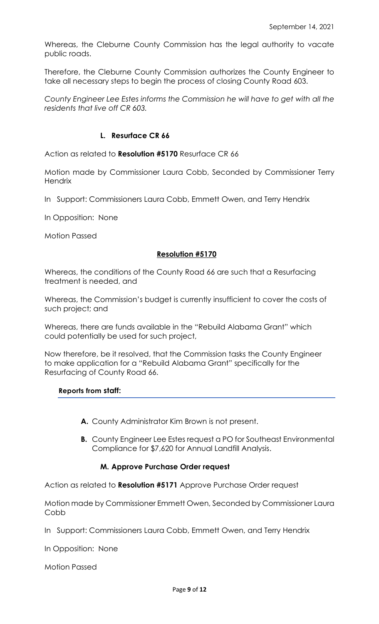Whereas, the Cleburne County Commission has the legal authority to vacate public roads.

Therefore, the Cleburne County Commission authorizes the County Engineer to take all necessary steps to begin the process of closing County Road 603.

*County Engineer Lee Estes informs the Commission he will have to get with all the residents that live off CR 603.*

#### **L. Resurface CR 66**

Action as related to **Resolution #5170** Resurface CR 66

Motion made by Commissioner Laura Cobb, Seconded by Commissioner Terry **Hendrix** 

In Support: Commissioners Laura Cobb, Emmett Owen, and Terry Hendrix

In Opposition: None

Motion Passed

#### **Resolution #5170**

Whereas, the conditions of the County Road 66 are such that a Resurfacing treatment is needed, and

Whereas, the Commission's budget is currently insufficient to cover the costs of such project; and

Whereas, there are funds available in the "Rebuild Alabama Grant" which could potentially be used for such project,

Now therefore, be it resolved, that the Commission tasks the County Engineer to make application for a "Rebuild Alabama Grant" specifically for the Resurfacing of County Road 66.

#### **Reports from staff:**

- **A.** County Administrator Kim Brown is not present.
- **B.** County Engineer Lee Estes request a PO for Southeast Environmental Compliance for \$7,620 for Annual Landfill Analysis.

#### **M. Approve Purchase Order request**

Action as related to **Resolution #5171** Approve Purchase Order request

Motion made by Commissioner Emmett Owen, Seconded by Commissioner Laura **Cobb** 

In Support: Commissioners Laura Cobb, Emmett Owen, and Terry Hendrix

In Opposition: None

Motion Passed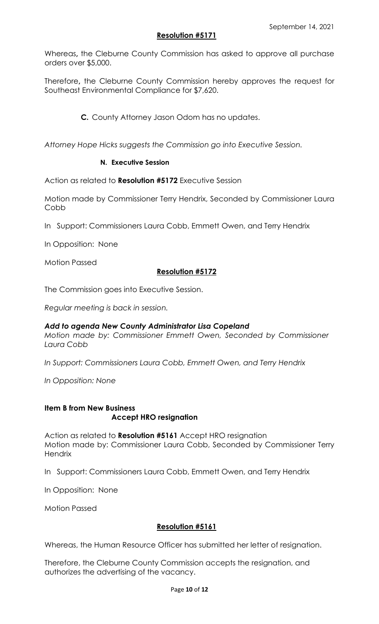## **Resolution #5171**

Whereas**,** the Cleburne County Commission has asked to approve all purchase orders over \$5,000.

Therefore**,** the Cleburne County Commission hereby approves the request for Southeast Environmental Compliance for \$7,620.

**C.** County Attorney Jason Odom has no updates.

*Attorney Hope Hicks suggests the Commission go into Executive Session.*

## **N. Executive Session**

Action as related to **Resolution #5172** Executive Session

Motion made by Commissioner Terry Hendrix, Seconded by Commissioner Laura Cobb

In Support: Commissioners Laura Cobb, Emmett Owen, and Terry Hendrix

In Opposition: None

Motion Passed

## **Resolution #5172**

The Commission goes into Executive Session.

*Regular meeting is back in session.*

#### *Add to agenda New County Administrator Lisa Copeland*

*Motion made by: Commissioner Emmett Owen, Seconded by Commissioner Laura Cobb*

*In Support: Commissioners Laura Cobb, Emmett Owen, and Terry Hendrix*

*In Opposition: None*

#### **Item B from New Business Accept HRO resignation**

Action as related to **Resolution #5161** Accept HRO resignation Motion made by: Commissioner Laura Cobb, Seconded by Commissioner Terry **Hendrix** 

In Support: Commissioners Laura Cobb, Emmett Owen, and Terry Hendrix

In Opposition: None

Motion Passed

#### **Resolution #5161**

Whereas, the Human Resource Officer has submitted her letter of resignation.

Therefore, the Cleburne County Commission accepts the resignation, and authorizes the advertising of the vacancy.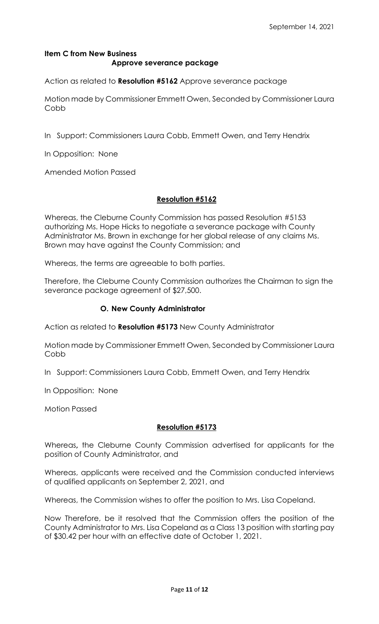# **Item C from New Business Approve severance package**

Action as related to **Resolution #5162** Approve severance package

Motion made by Commissioner Emmett Owen, Seconded by Commissioner Laura Cobb

In Support: Commissioners Laura Cobb, Emmett Owen, and Terry Hendrix

In Opposition: None

Amended Motion Passed

#### **Resolution #5162**

Whereas, the Cleburne County Commission has passed Resolution #5153 authorizing Ms. Hope Hicks to negotiate a severance package with County Administrator Ms. Brown in exchange for her global release of any claims Ms. Brown may have against the County Commission; and

Whereas, the terms are agreeable to both parties.

Therefore, the Cleburne County Commission authorizes the Chairman to sign the severance package agreement of \$27,500.

#### **O. New County Administrator**

Action as related to **Resolution #5173** New County Administrator

Motion made by Commissioner Emmett Owen, Seconded by Commissioner Laura Cobb

In Support: Commissioners Laura Cobb, Emmett Owen, and Terry Hendrix

In Opposition: None

Motion Passed

#### **Resolution #5173**

Whereas**,** the Cleburne County Commission advertised for applicants for the position of County Administrator, and

Whereas, applicants were received and the Commission conducted interviews of qualified applicants on September 2, 2021, and

Whereas, the Commission wishes to offer the position to Mrs. Lisa Copeland.

Now Therefore, be it resolved that the Commission offers the position of the County Administrator to Mrs. Lisa Copeland as a Class 13 position with starting pay of \$30.42 per hour with an effective date of October 1, 2021.